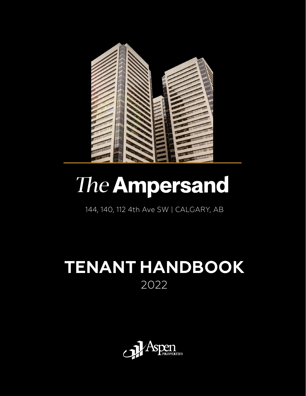

# The Ampersand

144, 140, 112 4th Ave SW | CALGARY, AB

## **TENANT HANDBOOK** 2022

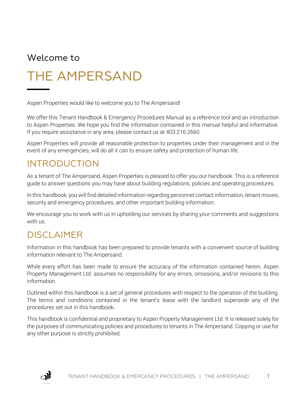### Welcome to

## THE AMPERSAND

Aspen Properties would like to welcome you to The Ampersand!

We offer this Tenant Handbook & Emergency Procedures Manual as a reference tool and an introduction to Aspen Properties. We hope you find the information contained in this manual helpful and informative. If you require assistance in any area, please contact us at 403.216.2660.

Aspen Properties will provide all reasonable protection to properties under their management and in the event of any emergencies, will do all it can to ensure safety and protection of human life.

### INTRODUCTION

As a tenant of The Ampersand, Aspen Properties is pleased to offer you our handbook. This is a reference guide to answer questions you may have about building regulations, policies and operating procedures.

In this handbook, you will find detailed information regarding personnel contact information, tenant moves, security and emergency procedures, and other important building information.

We encourage you to work with us in upholding our services by sharing your comments and suggestions with us.

### DISCLAIMER

Information in this handbook has been prepared to provide tenants with a convenient source of building information relevant to The Ampersand.

While every effort has been made to ensure the accuracy of the information contained herein, Aspen Property Management Ltd. assumes no responsibility for any errors, omissions, and/or revisions to this information.

Outlined within this handbook is a set of general procedures with respect to the operation of the building. The terms and conditions contained in the tenant's lease with the landlord supersede any of the procedures set out in this handbook.

This handbook is confidential and proprietary to Aspen Property Management Ltd. It is released solely for the purposes of communicating policies and procedures to tenants in The Ampersand. Copying or use for any other purpose is strictly prohibited.

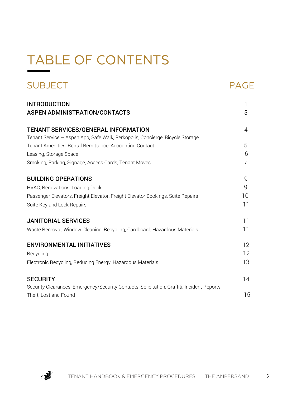## TABLE OF CONTENTS

| <b>SUBJECT</b>                                                                                                                          | PAGE           |
|-----------------------------------------------------------------------------------------------------------------------------------------|----------------|
| <b>INTRODUCTION</b>                                                                                                                     | 1              |
| <b>ASPEN ADMINISTRATION/CONTACTS</b>                                                                                                    | 3              |
| TENANT SERVICES/GENERAL INFORMATION<br>Tenant Service - Aspen App, Safe Walk, Perkopolis, Concierge, Bicycle Storage                    | $\overline{4}$ |
| Tenant Amenities, Rental Remittance, Accounting Contact                                                                                 | 5              |
| Leasing, Storage Space                                                                                                                  | 6              |
| Smoking, Parking, Signage, Access Cards, Tenant Moves                                                                                   | 7              |
| <b>BUILDING OPERATIONS</b>                                                                                                              | 9              |
| HVAC, Renovations, Loading Dock                                                                                                         | 9              |
| Passenger Elevators, Freight Elevator, Freight Elevator Bookings, Suite Repairs                                                         | 10             |
| Suite Key and Lock Repairs                                                                                                              | 11             |
| <b>JANITORIAL SERVICES</b>                                                                                                              | 11             |
| Waste Removal, Window Cleaning, Recycling, Cardboard, Hazardous Materials                                                               | 11             |
| <b>ENVIRONMENTAL INITIATIVES</b>                                                                                                        | 12             |
| Recycling                                                                                                                               | 12             |
| Electronic Recycling, Reducing Energy, Hazardous Materials                                                                              | 13             |
| <b>SECURITY</b><br>Security Clearances, Emergency/Security Contacts, Solicitation, Graffiti, Incident Reports,<br>Theft, Lost and Found | 14<br>15       |

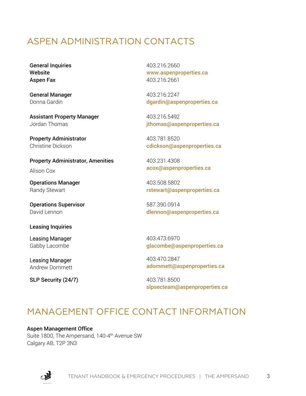### ASPEN ADMINISTRATION CONTACTS

General Inquiries **Website** Aspen Fax

General Manager Donna Gardin

Assistant Property Manager Jordan Thomas

Property Administrator Christine Dickson

Property Administrator, Amenities Alison Cox

Operations Manager Randy Stewart

Operations Supervisor David Lennon

Leasing Inquiries

Leasing Manager Gabby Lacombe

Leasing Manager Andrew Dommett

**SLP Security (24/7)** 403.781.8500

403.216.2660 [www.aspenproperties.ca](http://www.aspenproperties.ca/) 403.216.2661

403.216.2247 [dgardin@aspenproperties.ca](mailto:dgardin@aspenproperties.ca)

403.216.5492 [jthomas@aspenproperties.ca](mailto:jthomas@aspenproperties.ca)

403.781.8520 [cdickson@aspenproperties.ca](mailto:cdickson@aspenproperties.ca)

403.231.4308 [acox@aspenproperties.ca](mailto:acox@aspenproperties.ca)

403.508.5802 [rstewart@aspenproperties.ca](mailto:rstewart@aspenproperties.ca)

587.390.0914 [dlennon@aspenproperties.ca](mailto:dlennon@aspenproperties.ca)

403.473.6970 [glacombe@aspenproperties.ca](mailto:glacombe@aspenproperties.ca)

403.470.2847 [adommett@aspenproperties.ca](mailto:adommett@aspenproperties.ca)

[slpsecteam@aspenproperties.ca](mailto:slpsecteam@aspenproperties.ca)

### MANAGEMENT OFFICE CONTACT INFORMATION

Aspen Management Office Suite 1800, The Ampersand, 140-4<sup>th</sup> Avenue SW Calgary AB, T2P 3N3

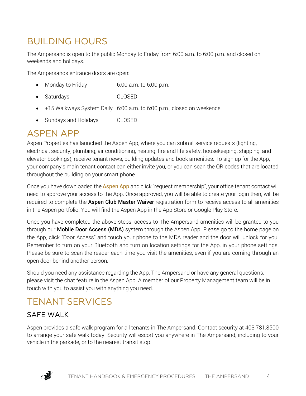### BUILDING HOURS

The Ampersand is open to the public Monday to Friday from 6:00 a.m. to 6:00 p.m. and closed on weekends and holidays.

The Ampersands entrance doors are open:

- Monday to Friday 6:00 a.m. to 6:00 p.m.
- Saturdays CLOSED
- +15 Walkways System Daily 6:00 a.m. to 6:00 p.m., closed on weekends
- Sundays and Holidays CLOSED

#### ASPEN APP

Aspen Properties has launched the Aspen App, where you can submit service requests (lighting, electrical, security, plumbing, air conditioning, heating, fire and life safety, housekeeping, shipping, and elevator bookings), receive tenant news, building updates and book amenities. To sign up for the App, your company's main tenant contact can either invite you, or you can scan the QR codes that are located throughout the building on your smart phone.

Once you have downloaded the **[Aspen App](https://service.aspenproperties.ca/dashboard)** and click "request membership", your office tenant contact will need to approve your access to the App. Once approved, you will be able to create your login then, will be required to complete the **Aspen Club Master Waiver** registration form to receive access to all amenities in the Aspen portfolio. You will find the Aspen App in the App Store or Google Play Store.

Once you have completed the above steps, access to The Ampersand amenities will be granted to you through our **Mobile Door Access (MDA)** system through the Aspen App. Please go to the home page on the App, click "Door Access" and touch your phone to the MDA reader and the door will unlock for you. Remember to turn on your Bluetooth and turn on location settings for the App, in your phone settings. Please be sure to scan the reader each time you visit the amenities, even if you are coming through an open door behind another person.

Should you need any assistance regarding the App, The Ampersand or have any general questions, please visit the chat feature in the Aspen App. A member of our Property Management team will be in touch with you to assist you with anything you need.

### TENANT SERVICES

#### SAFE WALK

Aspen provides a safe walk program for all tenants in The Ampersand. Contact security at 403.781.8500 to arrange your safe walk today. Security will escort you anywhere in The Ampersand, including to your vehicle in the parkade, or to the nearest transit stop.

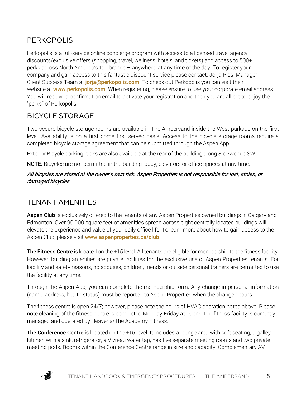#### PERKOPOLIS

Perkopolis is a full-service online concierge program with access to a licensed travel agency, discounts/exclusive offers (shopping, travel, wellness, hotels, and tickets) and access to 500+ perks across North America's top brands – anywhere, at any time of the day. To register your company and gain access to this fantastic discount service please contact: Jorja Plos, Manager Client Success Team at [jorja@perkopolis.com.](mailto:jorja@perkopolis.com) To check out Perkopolis you can visit their website at **[www.perkopolis.com.](https://can01.safelinks.protection.outlook.com/?url=https%3A%2F%2Fwww.perkopolis.com.%2F&data=04%7C01%7Cacox%40aspenproperties.ca%7C674eabbfb8a1436258ff08d9dd238fc0%7C8dd37168bf83474e868f8441d08a43dd%7C0%7C0%7C637783967093941350%7CUnknown%7CTWFpbGZsb3d8eyJWIjoiMC4wLjAwMDAiLCJQIjoiV2luMzIiLCJBTiI6Ik1haWwiLCJXVCI6Mn0%3D%7C3000&sdata=Ay38hYKZ6jAu%2Bacb6zkXOD86EvQ5eTnxvzccZgtDeD0%3D&reserved=0)** When registering, please ensure to use your corporate email address. You will receive a confirmation email to activate your registration and then you are all set to enjoy the "perks" of Perkopolis!

#### BICYCLE STORAGE

Two secure bicycle storage rooms are available in The Ampersand inside the West parkade on the first level. Availability is on a first come first served basis. Access to the bicycle storage rooms require a completed bicycle storage agreement that can be submitted through the Aspen App.

Exterior Bicycle parking racks are also available at the rear of the building along 3rd Avenue SW.

NOTE: Bicycles are not permitted in the building lobby, elevators or office spaces at any time.

#### All bicycles are stored at the owner's own risk. Aspen Properties is not responsible for lost, stolen, or damaged bicycles.

#### TENANT AMENITIES

**Aspen Club** is exclusively offered to the tenants of any Aspen Properties owned buildings in Calgary and Edmonton. Over 90,000 square feet of amenities spread across eight centrally located buildings will elevate the experience and value of your daily office life. To learn more about how to gain access to the Aspen Club, please visit [www.aspenproperties.ca/club](http://www.aspenproperties.ca/club).

The Fitness Centre is located on the +15 level. All tenants are eligible for membership to the fitness facility. However, building amenities are private facilities for the exclusive use of Aspen Properties tenants. For liability and safety reasons, no spouses, children, friends or outside personal trainers are permitted to use the facility at any time.

Through the Aspen App, you can complete the membership form. Any change in personal information (name, address, health status) must be reported to Aspen Properties when the change occurs.

The fitness centre is open 24/7; however, please note the hours of HVAC operation noted above. Please note cleaning of the fitness centre is completed Monday-Friday at 10pm. The fitness facility is currently managed and operated by Heavens/The Academy Fitness.

**The Conference Centre** is located on the +15 level. It includes a lounge area with soft seating, a galley kitchen with a sink, refrigerator, a Vivreau water tap, has five separate meeting rooms and two private meeting pods. Rooms within the Conference Centre range in size and capacity. Complementary AV

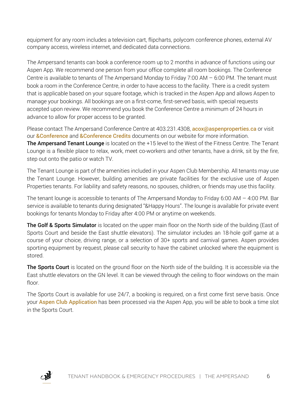equipment for any room includes a television cart, flipcharts, polycom conference phones, external AV company access, wireless internet, and dedicated data connections.

The Ampersand tenants can book a conference room up to 2 months in advance of functions using our Aspen App. We recommend one person from your office complete all room bookings. The Conference Centre is available to tenants of The Ampersand Monday to Friday 7:00 AM  $-$  6:00 PM. The tenant must book a room in the Conference Centre, in order to have access to the facility. There is a credit system that is applicable based on your square footage, which is tracked in the Aspen App and allows Aspen to manage your bookings. All bookings are on a first-come, first-served basis, with special requests accepted upon review. We recommend you book the Conference Centre a minimum of 24 hours in advance to allow for proper access to be granted.

Please contact The Ampersand Conference Centre at 403.231.4308, [acox@aspenproperties.ca](mailto:acox@aspenproperties.ca) or visit our **[&Conference](https://d4837ee1-89dc-4f3a-b2ff-edee3742ff4a.filesusr.com/ugd/29eefc_a8a80d76d0b0492f85321e73ab9c2314.pdf)** and **[&Conference Credits](file://aspfile1/Company/Aspen/_BUILDINGS/The%20Ampersand%20Files/Operations/Amenities/Bike%20Storage/Completed%20Agreements)** documents on our website for more information. The Ampersand Tenant Lounge is located on the +15 level to the West of the Fitness Centre. The Tenant Lounge is a flexible place to relax, work, meet co-workers and other tenants, have a drink, sit by the fire, step out onto the patio or watch TV.

The Tenant Lounge is part of the amenities included in your Aspen Club Membership. All tenants may use the Tenant Lounge. However, building amenities are private facilities for the exclusive use of Aspen Properties tenants. For liability and safety reasons, no spouses, children, or friends may use this facility.

The tenant lounge is accessible to tenants of The Ampersand Monday to Friday 6:00 AM  $-$  4:00 PM. Bar service is available to tenants during designated "&Happy Hours". The lounge is available for private event bookings for tenants Monday to Friday after 4:00 PM or anytime on weekends.

The Golf & Sports Simulator is located on the upper main floor on the North side of the building (East of Sports Court and beside the East shuttle elevators). The simulator includes an 18-hole golf game at a course of your choice, driving range, or a selection of 30+ sports and carnival games. Aspen provides sporting equipment by request, please call security to have the cabinet unlocked where the equipment is stored.

The Sports Court is located on the ground floor on the North side of the building. It is accessible via the East shuttle elevators on the GN level. It can be viewed through the ceiling to floor windows on the main floor.

The Sports Court is available for use 24/7, a booking is required, on a first come first serve basis. Once your **[Aspen Club Application](https://www.aspenproperties.ca/club)** has been processed via the Aspen App, you will be able to book a time slot in the Sports Court.

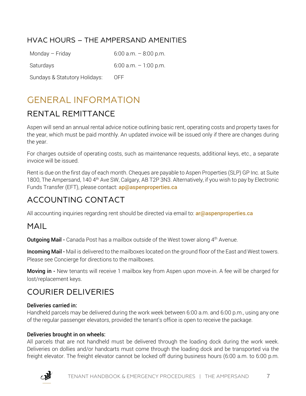#### HVAC HOURS – THE AMPERSAND AMENITIES

Monday – Friday  $6:00$  a.m. –  $8:00$  p.m.

Saturdays 6:00 a.m. – 1:00 p.m.

Sundays & Statutory Holidays: OFF

### GENERAL INFORMATION

#### RENTAL REMITTANCE

Aspen will send an annual rental advice notice outlining basic rent, operating costs and property taxes for the year, which must be paid monthly. An updated invoice will be issued only if there are changes during the year.

For charges outside of operating costs, such as maintenance requests, additional keys, etc., a separate invoice will be issued.

Rent is due on the first day of each month. Cheques are payable to Aspen Properties (SLP) GP Inc. at Suite 1800, The Ampersand, 140 4<sup>th</sup> Ave SW, Calgary, AB T2P 3N3. Alternatively, if you wish to pay by Electronic Funds Transfer (EFT), please contact: **[ap@aspenproperties.ca](mailto:ap@aspenproperties.ca)** 

#### ACCOUNTING CONTACT

All accounting inquiries regarding rent should be directed via email to: **[ar@aspenproperties.ca](mailto:ar@aspenproperties.ca)** 

#### MAIL

**Outgoing Mail -** Canada Post has a mailbox outside of the West tower along 4<sup>th</sup> Avenue.

**Incoming Mail -** Mail is delivered to the mailboxes located on the ground floor of the East and West towers. Please see Concierge for directions to the mailboxes.

Moving in - New tenants will receive 1 mailbox key from Aspen upon move-in. A fee will be charged for lost/replacement keys.

#### COURIER DELIVERIES

#### Deliveries carried in:

Handheld parcels may be delivered during the work week between 6:00 a.m. and 6:00 p.m., using any one of the regular passenger elevators, provided the tenant's office is open to receive the package.

#### Deliveries brought in on wheels:

All parcels that are not handheld must be delivered through the loading dock during the work week. Deliveries on dollies and/or handcarts must come through the loading dock and be transported via the freight elevator. The freight elevator cannot be locked off during business hours (6:00 a.m. to 6:00 p.m.

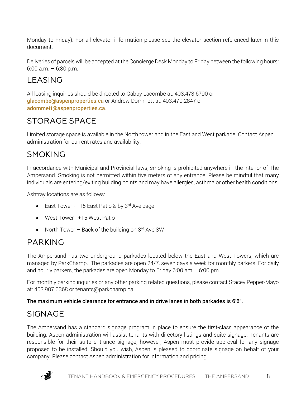Monday to Friday). For all elevator information please see the elevator section referenced later in this document.

Deliveries of parcels will be accepted at the Concierge Desk Monday to Friday between the following hours: 6:00 a.m. – 6:30 p.m.

### LEASING

All leasing inquiries should be directed to Gabby Lacombe at: 403.473.6790 or [glacombe@aspenproperties.ca](mailto:glacombe@aspenproperties.ca) or Andrew Dommett at: 403.470.2847 or [adommett@aspenproperties.ca](mailto:adommett@aspenproperties.ca).

### STORAGE SPACE

Limited storage space is available in the North tower and in the East and West parkade. Contact Aspen administration for current rates and availability.

### SMOKING

In accordance with Municipal and Provincial laws, smoking is prohibited anywhere in the interior of The Ampersand. Smoking is not permitted within five meters of any entrance. Please be mindful that many individuals are entering/exiting building points and may have allergies, asthma or other health conditions.

Ashtray locations are as follows:

- East Tower +15 East Patio & by 3rd Ave cage
- West Tower +15 West Patio
- North Tower Back of the building on  $3<sup>rd</sup>$  Ave SW

#### PARKING

The Ampersand has two underground parkades located below the East and West Towers, which are managed by ParkChamp. The parkades are open 24/7, seven days a week for monthly parkers. For daily and hourly parkers, the parkades are open Monday to Friday 6:00 am  $-$  6:00 pm.

For monthly parking inquiries or any other parking related questions, please contact Stacey Pepper-Mayo at: 403.907.0368 or tenants@parkchamp.ca

#### The maximum vehicle clearance for entrance and in drive lanes in both parkades is 6'6".

### SIGNAGE

The Ampersand has a standard signage program in place to ensure the first-class appearance of the building. Aspen administration will assist tenants with directory listings and suite signage. Tenants are responsible for their suite entrance signage; however, Aspen must provide approval for any signage proposed to be installed. Should you wish, Aspen is pleased to coordinate signage on behalf of your company. Please contact Aspen administration for information and pricing.

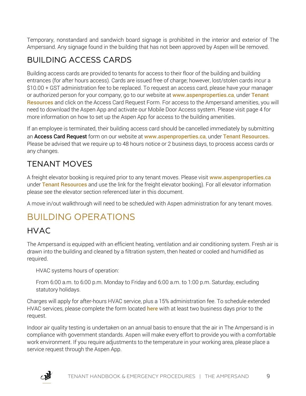Temporary, nonstandard and sandwich board signage is prohibited in the interior and exterior of The Ampersand. Any signage found in the building that has not been approved by Aspen will be removed.

### BUILDING ACCESS CARDS

Building access cards are provided to tenants for access to their floor of the building and building entrances (for after hours access). Cards are issued free of charge; however, lost/stolen cards incur a \$10.00 + GST administration fee to be replaced. To request an access card, please have your manager or authorized person for your company, go to our website at [www.aspenproperties.ca](http://www.aspenproperties.ca/), under Tenant [Resources](http://aspenproperties.ca/properties/calgary/150-9th-avenue-2/#resources) and click on the Access Card Request Form. For access to the Ampersand amenities, you will need to download the Aspen App and activate our Mobile Door Access system. Please visit page 4 for more information on how to set up the Aspen App for access to the building amenities.

If an employee is terminated, their building access card should be cancelled immediately by submitting an Access Card Request form on our website at [www.aspenproperties.ca](http://www.aspenproperties.ca/), under [Tenant Resources.](http://aspenproperties.ca/properties/calgary/150-9th-avenue-2/) Please be advised that we require up to 48 hours notice or 2 business days, to process access cards or any changes.

### TENANT MOVES

A freight elevator booking is required prior to any tenant moves. Please visit [www.aspenproperties.ca](http://www.aspenproperties.ca/) under [Tenant Resources](http://aspenproperties.ca/properties/calgary/150-9th-avenue-2/) and use the link for the freight elevator booking). For all elevator information please see the elevator section referenced later in this document.

A move in/out walkthrough will need to be scheduled with Aspen administration for any tenant moves.

### BUILDING OPERATIONS

#### HVAC

The Ampersand is equipped with an efficient heating, ventilation and air conditioning system. Fresh air is drawn into the building and cleaned by a filtration system, then heated or cooled and humidified as required.

HVAC systems hours of operation:

From 6:00 a.m. to 6:00 p.m. Monday to Friday and 6:00 a.m. to 1:00 p.m. Saturday, excluding statutory holidays.

Charges will apply for after-hours HVAC service, plus a 15% administration fee. To schedule extended HVAC services, please complete the form located **[here](https://aspenproperties.wufoo.com/forms/q1pbs2ek1x4bp84/)** with at least two business days prior to the request.

Indoor air quality testing is undertaken on an annual basis to ensure that the air in The Ampersand is in compliance with government standards. Aspen will make every effort to provide you with a comfortable work environment. If you require adjustments to the temperature in your working area, please place a service request through the Aspen App.

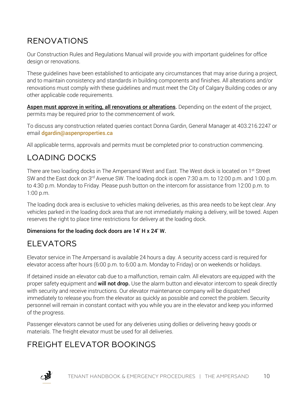### RENOVATIONS

Our Construction Rules and Regulations Manual will provide you with important guidelines for office design or renovations.

These guidelines have been established to anticipate any circumstances that may arise during a project, and to maintain consistency and standards in building components and finishes. All alterations and/or renovations must comply with these guidelines and must meet the City of Calgary Building codes or any other applicable code requirements.

Aspen must approve in writing, all renovations or alterations. Depending on the extent of the project, permits may be required prior to the commencement of work.

To discuss any construction related queries contact Donna Gardin, General Manager at 403.216.2247 or email [dgardin@aspenproperties.ca](mailto:dgardin@aspenproperties.ca)

All applicable terms, approvals and permits must be completed prior to construction commencing.

#### LOADING DOCKS

There are two loading docks in The Ampersand West and East. The West dock is located on 1<sup>st</sup> Street SW and the East dock on 3<sup>rd</sup> Avenue SW. The loading dock is open 7:30 a.m. to 12:00 p.m. and 1:00 p.m. to 4:30 p.m. Monday to Friday. Please push button on the intercom for assistance from 12:00 p.m. to 1:00 p.m.

The loading dock area is exclusive to vehicles making deliveries, as this area needs to be kept clear. Any vehicles parked in the loading dock area that are not immediately making a delivery, will be towed. Aspen reserves the right to place time restrictions for delivery at the loading dock.

#### Dimensions for the loading dock doors are 14' H x 24' W.

#### ELEVATORS

Elevator service in The Ampersand is available 24 hours a day. A security access card is required for elevator access after hours (6:00 p.m. to 6:00 a.m. Monday to Friday) or on weekends or holidays.

If detained inside an elevator cab due to a malfunction, remain calm. All elevators are equipped with the proper safety equipment and **will not drop.** Use the alarm button and elevator intercom to speak directly with security and receive instructions. Our elevator maintenance company will be dispatched immediately to release you from the elevator as quickly as possible and correct the problem. Security personnel will remain in constant contact with you while you are in the elevator and keep you informed of the progress.

Passenger elevators cannot be used for any deliveries using dollies or delivering heavy goods or materials. The freight elevator must be used for all deliveries.

#### FREIGHT ELEVATOR BOOKINGS

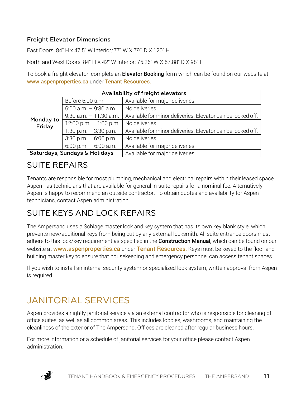#### Freight Elevator Dimensions

East Doors: 84" H x 47.5" W Interior: 77" W X 79'" D X 120" H

North and West Doors: 84" H X 42" W Interior: 75.26" W X 57.88" D X 98" H

To book a freight elevator, complete an **Elevator Booking** form which can be found on our website at [www.aspenproperties.ca](http://www.aspenproperties.ca/) under [Tenant Resources.](http://aspenproperties.ca/index.php/properties/calgary/palliser-one/#resources)

|                               | Availability of freight elevators |                                                             |  |  |
|-------------------------------|-----------------------------------|-------------------------------------------------------------|--|--|
|                               | Before 6:00 a.m.                  | Available for major deliveries                              |  |  |
|                               | $6:00$ a.m. $-9:30$ a.m.          | No deliveries                                               |  |  |
|                               | $9:30$ a.m. $-11:30$ a.m.         | Available for minor deliveries. Elevator can be locked off. |  |  |
| Monday to<br>Friday           | 12:00 p.m. $-1:00$ p.m.           | No deliveries                                               |  |  |
|                               | 1:30 p.m. $-$ 3:30 p.m.           | Available for minor deliveries. Elevator can be locked off. |  |  |
|                               | $3:30$ p.m. $-6:00$ p.m.          | No deliveries                                               |  |  |
|                               | $6:00$ p.m. $-6:00$ a.m.          | Available for major deliveries                              |  |  |
| Saturdays, Sundays & Holidays |                                   | Available for major deliveries                              |  |  |

#### SUITE REPAIRS

Tenants are responsible for most plumbing, mechanical and electrical repairs within their leased space. Aspen has technicians that are available for general in-suite repairs for a nominal fee. Alternatively, Aspen is happy to recommend an outside contractor. To obtain quotes and availability for Aspen technicians, contact Aspen administration.

#### SUITE KEYS AND LOCK REPAIRS

The Ampersand uses a Schlage master lock and key system that has its own key blank style, which prevents new/additional keys from being cut by any external locksmith. All suite entrance doors must adhere to this lock/key requirement as specified in the **Construction Manual**, which can be found on our website at **[www.aspenproperties.ca](http://www.aspenproperties.ca/)** under [Tenant Resources](http://aspenproperties.ca/properties/calgary/150-9th-avenue-2/). Keys must be keyed to the floor and building master key to ensure that housekeeping and emergency personnel can access tenant spaces.

If you wish to install an internal security system or specialized lock system, written approval from Aspen is required.

### JANITORIAL SERVICES

Aspen provides a nightly janitorial service via an external contractor who is responsible for cleaning of office suites, as well as all common areas. This includes lobbies, washrooms, and maintaining the cleanliness of the exterior of The Ampersand. Offices are cleaned after regular business hours.

For more information or a schedule of janitorial services for your office please contact Aspen administration.

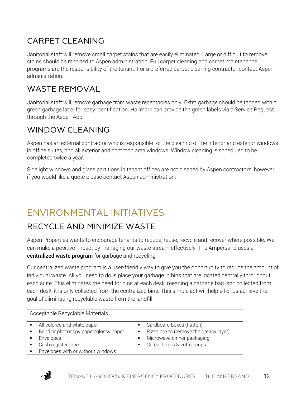### CARPET CLEANING

Janitorial staff will remove small carpet stains that are easily eliminated. Large or difficult to remove stains should be reported to Aspen administration. Full carpet cleaning and carpet maintenance programs are the responsibility of the tenant. For a preferred carpet cleaning contractor contact Aspen administration.

#### WASTE REMOVAL

Janitorial staff will remove garbage from waste receptacles only. Extra garbage should be tagged with a green garbage label for easy identification. Hallmark can provide the green labels via a Service Request through the Aspen App.

#### WINDOW CLEANING

Aspen has an external contractor who is responsible for the cleaning of the interior and exterior windows in office suites, and all exterior and common area windows. Window cleaning is scheduled to be completed twice a year.

Sidelight windows and glass partitions in tenant offices are not cleaned by Aspen contractors; however, if you would like a quote please contact Aspen administration.

### ENVIRONMENTAL INITIATIVES

#### RECYCLE AND MINIMIZE WASTE

Aspen Properties wants to encourage tenants to reduce, reuse, recycle and recover where possible. We can make a positive impact by managing our waste stream effectively. The Ampersand uses a centralized waste program for garbage and recycling.

Our centralized waste program is a user-friendly way to give you the opportunity to reduce the amount of individual waste. All you need to do is place your garbage in bins that are located centrally throughout each suite. This eliminates the need for bins at each desk, meaning a garbage bag isn't collected from each desk, it is only collected from the centralized bins. This simple act will help all of us achieve the goal of eliminating recyclable waste from the landfill.

| Acceptable Recyclable Materials                                                                                                             |                          |                                                                                                                                |
|---------------------------------------------------------------------------------------------------------------------------------------------|--------------------------|--------------------------------------------------------------------------------------------------------------------------------|
| All colored and white paper<br>Bond or photocopy paper/glossy paper<br>Envelopes<br>Cash register tape<br>Envelopes with or without windows | $\blacksquare$<br>п<br>п | Cardboard boxes (flatten)<br>Pizza boxes (remove the greasy layer)<br>Microwave dinner packaging<br>Cereal boxes & coffee cups |

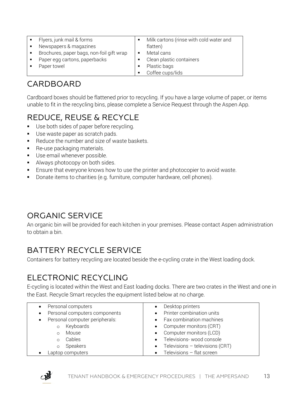|                | Flyers, junk mail & forms                 |   | Milk cartons (rinse with cold water and |
|----------------|-------------------------------------------|---|-----------------------------------------|
|                | Newspapers & magazines                    |   | flatten)                                |
| $\blacksquare$ | Brochures, paper bags, non-foil gift wrap | п | Metal cans                              |
|                | Paper egg cartons, paperbacks             |   | Clean plastic containers                |
|                | Paper towel                               |   | Plastic bags                            |
|                |                                           |   | Coffee cups/lids                        |

#### CARDBOARD

Cardboard boxes should be flattened prior to recycling. If you have a large volume of paper, or items unable to fit in the recycling bins, please complete a Service Request through the Aspen App.

### REDUCE, REUSE & RECYCLE

- Use both sides of paper before recycling.
- Use waste paper as scratch pads.
- Reduce the number and size of waste baskets.
- **Re-use packaging materials.**
- **Use email whenever possible.**
- Always photocopy on both sides.
- **Ensure that everyone knows how to use the printer and photocopier to avoid waste.**
- Donate items to charities (e.g. furniture, computer hardware, cell phones).

#### ORGANIC SERVICE

An organic bin will be provided for each kitchen in your premises. Please contact Aspen administration to obtain a bin.

#### BATTERY RECYCLE SERVICE

Containers for battery recycling are located beside the e-cycling crate in the West loading dock.

#### ELECTRONIC RECYCLING

E-cycling is located within the West and East loading docks. There are two crates in the West and one in the East. Recycle Smart recycles the equipment listed below at no charge.

| $\bullet$ | Personal computers             | Desktop printers                               |
|-----------|--------------------------------|------------------------------------------------|
| $\bullet$ | Personal computers components  | Printer combination units                      |
| $\bullet$ | Personal computer peripherals: | Fax combination machines                       |
|           | Keyboards<br>$\circ$           | Computer monitors (CRT)<br>$\bullet$           |
|           | Mouse<br>$\circ$               | Computer monitors (LCD)<br>$\bullet$           |
|           | Cables<br>$\circ$              | Televisions-wood console                       |
|           | Speakers<br>$\circ$            | Televisions $-$ televisions (CRT)<br>$\bullet$ |
|           | Laptop computers               | Televisions - flat screen                      |

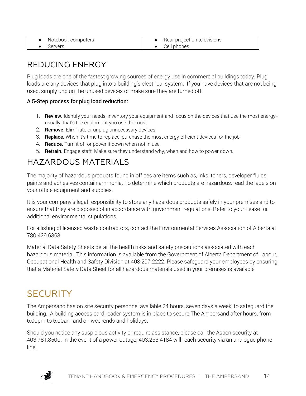| Notebook computers | Rear projection televisions |
|--------------------|-----------------------------|
| Servers            | Cell phones                 |

#### REDUCING ENERGY

Plug loads are one of the fastest growing sources of energy use in commercial buildings today. Plug loads are any devices that plug into a building's electrical system. If you have devices that are not being used, simply unplug the unused devices or make sure they are turned off.

#### A 5-Step process for plug load reduction:

- 1. Review. Identify your needs, inventory your equipment and focus on the devices that use the most energy-usually, that's the equipment you use the most.
- 2. Remove. Eliminate or unplug unnecessary devices.
- 3. Replace. When it's time to replace, purchase the most energy-efficient devices for the job.
- 4. Reduce. Turn it off or power it down when not in use.
- 5. Retrain. Engage staff. Make sure they understand why, when and how to power down.

#### HAZARDOUS MATERIALS

The majority of hazardous products found in offices are items such as, inks, toners, developer fluids, paints and adhesives contain ammonia. To determine which products are hazardous, read the labels on your office equipment and supplies.

It is your company's legal responsibility to store any hazardous products safely in your premises and to ensure that they are disposed of in accordance with government regulations. Refer to your Lease for additional environmental stipulations.

For a listing of licensed waste contractors, contact the Environmental Services Association of Alberta at 780.429.6363.

Material Data Safety Sheets detail the health risks and safety precautions associated with each hazardous material. This information is available from the Government of Alberta Department of Labour, Occupational Health and Safety Division at 403.297.2222. Please safeguard your employees by ensuring that a Material Safety Data Sheet for all hazardous materials used in your premises is available.

### **SECURITY**

The Ampersand has on site security personnel available 24 hours, seven days a week, to safeguard the building. A building access card reader system is in place to secure The Ampersand after hours, from 6:00pm to 6:00am and on weekends and holidays.

Should you notice any suspicious activity or require assistance, please call the Aspen security at 403.781.8500. In the event of a power outage, 403.263.4184 will reach security via an analogue phone line.

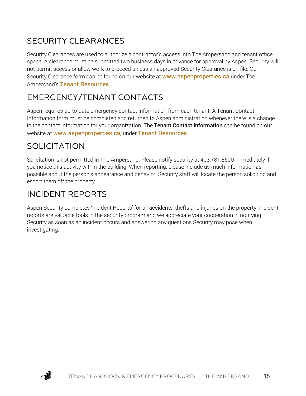### SECURITY CLEARANCES

Security Clearances are used to authorize a contractor's access into The Ampersand and tenant office space. A clearance must be submitted two business days in advance for approval by Aspen. Security will not permit access or allow work to proceed unless an approved Security Clearance is on file. Our Security Clearance form can be found on our website at **[www.aspenproperties.ca](http://www.aspenproperties.ca/)** under The Ampersand's [Tenant Resources](http://aspenproperties.ca/index.php/properties/calgary/150-9th-avenue-2/#resources).

### EMERGENCY/TENANT CONTACTS

Aspen requires up-to-date emergency contact information from each tenant. A Tenant Contact Information form must be completed and returned to Aspen administration whenever there is a change in the contact information for your organization. The Tenant Contact Information can be found on our website at [www.aspenproperties.ca,](http://www.aspenproperties.ca/) under [Tenant Resources](http://aspenproperties.ca/index.php/properties/calgary/150-9th-avenue-2/#resources).

#### SOLICITATION

Solicitation is not permitted in The Ampersand. Please notify security at 403.781.8500 immediately if you notice this activity within the building. When reporting, please include as much information as possible about the person's appearance and behavior. Security staff will locate the person soliciting and escort them off the property.

#### INCIDENT REPORTS

Aspen Security completes 'Incident Reports' for all accidents, thefts and injuries on the property. Incident reports are valuable tools in the security program and we appreciate your cooperation in notifying Security as soon as an incident occurs and answering any questions Security may pose when investigating.

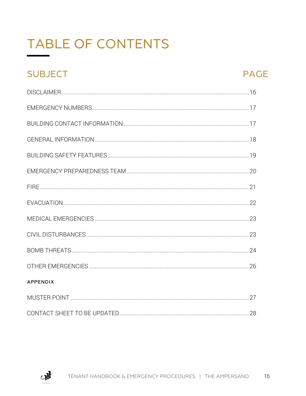## **TABLE OF CONTENTS**

### **SUBJECT**

#### **PAGE**

| <b>APPENDIX</b> |  |
|-----------------|--|
|                 |  |
|                 |  |

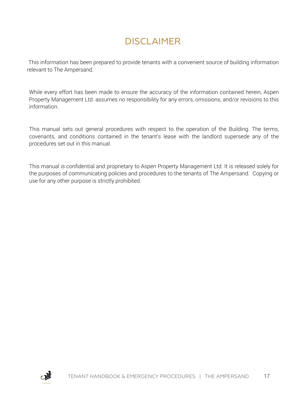### DISCLAIMER

This information has been prepared to provide tenants with a convenient source of building information relevant to The Ampersand.

While every effort has been made to ensure the accuracy of the information contained herein, Aspen Property Management Ltd. assumes no responsibility for any errors, omissions, and/or revisions to this information.

This manual sets out general procedures with respect to the operation of the Building. The terms, covenants, and conditions contained in the tenant's lease with the landlord supersede any of the procedures set out in this manual.

This manual is confidential and proprietary to Aspen Property Management Ltd. It is released solely for the purposes of communicating policies and procedures to the tenants of The Ampersand. Copying or use for any other purpose is strictly prohibited.

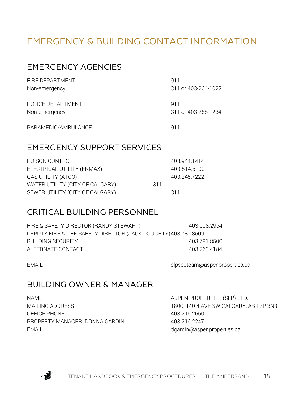### EMERGENCY & BUILDING CONTACT INFORMATION

#### EMERGENCY AGENCIES

| FIRE DEPARTMENT     | 911                 |
|---------------------|---------------------|
| Non-emergency       | 311 or 403-264-1022 |
| POLICE DEPARTMENT   | 911                 |
| Non-emergency       | 311 or 403-266-1234 |
| PARAMEDIC/AMBULANCE | 911                 |

#### EMERGENCY SUPPORT SERVICES

|     | 403.944.1414 |
|-----|--------------|
|     | 403-514.6100 |
|     | 403.245.7222 |
| 311 |              |
|     | 311          |
|     |              |

#### CRITICAL BUILDING PERSONNEL

| FIRE & SAFETY DIRECTOR (RANDY STEWART)                         | 403.608.2964 |
|----------------------------------------------------------------|--------------|
| DEPUTY FIRE & LIFE SAFETY DIRECTOR (JACK DOUGHTY) 403.781.8509 |              |
| BUILDING SECURITY                                              | 403.781.8500 |
| ALTERNATE CONTACT                                              | 403.263.4184 |

EMAIL example and the slope of the slpsecteam@aspenproperties.ca

#### BUILDING OWNER & MANAGER

NAME ASPEN PROPERTIES (SLP) LTD. OFFICE PHONE 403.216.2660 PROPERTY MANAGER- DONNA GARDIN 403.216.2247 EMAIL example and the control of the control of determined as depending aspending the control of the control of the control of the control of the control of the control of the control of the control of the control of the c

MAILING ADDRESS 1800, 140 4 AVE SW CALGARY, AB T2P 3N3

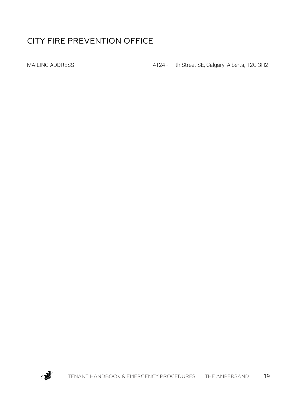#### CITY FIRE PREVENTION OFFICE

MAILING ADDRESS 4124 - 11th Street SE, Calgary, Alberta, T2G 3H2

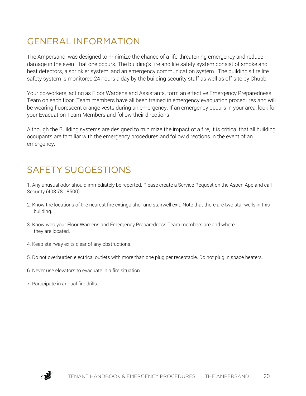### GENERAL INFORMATION

The Ampersand, was designed to minimize the chance of a life-threatening emergency and reduce damage in the event that one occurs. The building's fire and life safety system consist of smoke and heat detectors, a sprinkler system, and an emergency communication system. The building's fire life safety system is monitored 24 hours a day by the building security staff as well as off site by Chubb.

Your co-workers, acting as Floor Wardens and Assistants, form an effective Emergency Preparedness Team on each floor. Team members have all been trained in emergency evacuation procedures and will be wearing fluorescent orange vests during an emergency. If an emergency occurs in your area, look for your Evacuation Team Members and follow their directions.

Although the Building systems are designed to minimize the impact of a fire, it is critical that all building occupants are familiar with the emergency procedures and follow directions in the event of an emergency.

### SAFETY SUGGESTIONS

1. Any unusual odor should immediately be reported. Please create a Service Request on the Aspen App and call Security (403.781.8500).

- 2. Know the locations of the nearest fire extinguisher and stairwell exit. Note that there are two stairwells in this building.
- 3. Know who your Floor Wardens and Emergency Preparedness Team members are and where they are located.
- 4. Keep stairway exits clear of any obstructions.
- 5. Do not overburden electrical outlets with more than one plug per receptacle. Do not plug in space heaters.
- 6. Never use elevators to evacuate in a fire situation.
- 7. Participate in annual fire drills.

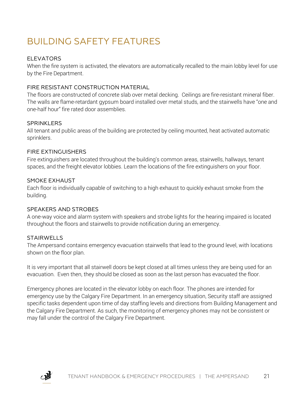### BUILDING SAFETY FEATURES

#### ELEVATORS

When the fire system is activated, the elevators are automatically recalled to the main lobby level for use by the Fire Department.

#### FIRE RESISTANT CONSTRUCTION MATERIAL

The floors are constructed of concrete slab over metal decking. Ceilings are fire-resistant mineral fiber. The walls are flame-retardant gypsum board installed over metal studs, and the stairwells have "one and one-half hour" fire rated door assemblies.

#### **SPRINKLERS**

All tenant and public areas of the building are protected by ceiling mounted, heat activated automatic sprinklers.

#### FIRE EXTINGUISHERS

Fire extinguishers are located throughout the building's common areas, stairwells, hallways, tenant spaces, and the freight elevator lobbies. Learn the locations of the fire extinguishers on your floor.

#### SMOKE EXHAUST

Each floor is individually capable of switching to a high exhaust to quickly exhaust smoke from the building.

#### SPEAKERS AND STROBES

A one-way voice and alarm system with speakers and strobe lights for the hearing impaired is located throughout the floors and stairwells to provide notification during an emergency.

#### STAIRWELLS

The Ampersand contains emergency evacuation stairwells that lead to the ground level, with locations shown on the floor plan.

It is very important that all stairwell doors be kept closed at all times unless they are being used for an evacuation. Even then, they should be closed as soon as the last person has evacuated the floor.

Emergency phones are located in the elevator lobby on each floor. The phones are intended for emergency use by the Calgary Fire Department. In an emergency situation, Security staff are assigned specific tasks dependent upon time of day staffing levels and directions from Building Management and the Calgary Fire Department. As such, the monitoring of emergency phones may not be consistent or may fall under the control of the Calgary Fire Department.

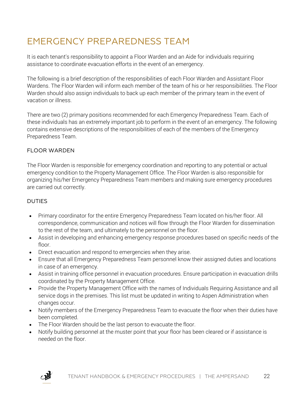### EMERGENCY PREPAREDNESS TEAM

It is each tenant's responsibility to appoint a Floor Warden and an Aide for individuals requiring assistance to coordinate evacuation efforts in the event of an emergency.

The following is a brief description of the responsibilities of each Floor Warden and Assistant Floor Wardens. The Floor Warden will inform each member of the team of his or her responsibilities. The Floor Warden should also assign individuals to back up each member of the primary team in the event of vacation or illness.

There are two (2) primary positions recommended for each Emergency Preparedness Team. Each of these individuals has an extremely important job to perform in the event of an emergency. The following contains extensive descriptions of the responsibilities of each of the members of the Emergency Preparedness Team.

#### FLOOR WARDEN

The Floor Warden is responsible for emergency coordination and reporting to any potential or actual emergency condition to the Property Management Office. The Floor Warden is also responsible for organizing his/her Emergency Preparedness Team members and making sure emergency procedures are carried out correctly.

#### DUTIES

- Primary coordinator for the entire Emergency Preparedness Team located on his/her floor. All correspondence, communication and notices will flow through the Floor Warden for dissemination to the rest of the team, and ultimately to the personnel on the floor.
- Assist in developing and enhancing emergency response procedures based on specific needs of the floor.
- Direct evacuation and respond to emergencies when they arise.
- Ensure that all Emergency Preparedness Team personnel know their assigned duties and locations in case of an emergency.
- Assist in training office personnel in evacuation procedures. Ensure participation in evacuation drills coordinated by the Property Management Office.
- Provide the Property Management Office with the names of Individuals Requiring Assistance and all service dogs in the premises. This list must be updated in writing to Aspen Administration when changes occur.
- Notify members of the Emergency Preparedness Team to evacuate the floor when their duties have been completed.
- The Floor Warden should be the last person to evacuate the floor.
- Notify building personnel at the muster point that your floor has been cleared or if assistance is needed on the floor.

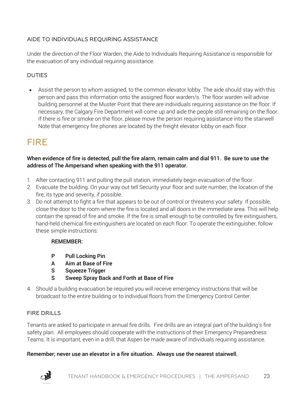#### AIDE TO INDIVIDUALS REQUIRING ASSISTANCE

Under the direction of the Floor Warden, the Aide to Individuals Requiring Assistance is responsible for the evacuation of any individual requiring assistance.

#### **DUTIES**

• Assist the person to whom assigned, to the common elevator lobby. The aide should stay with this person and pass this information onto the assigned floor warden/s. The floor warden will advise building personnel at the Muster Point that there are individuals requiring assistance on the floor. If necessary, the Calgary Fire Department will come up and aide the people still remaining on the floor. If there is fire or smoke on the floor, please move the person requiring assistance into the stairwell Note that emergency fire phones are located by the freight elevator lobby on each floor.

### FIRE

When evidence of fire is detected, pull the fire alarm, remain calm and dial 911. Be sure to use the address of The Ampersand when speaking with the 911 operator.

- 1. After contacting 911 and pulling the pull station, immediately begin evacuation of the floor.
- 2. Evacuate the building. On your way out tell Security your floor and suite number, the location of the fire, its type and severity, if possible.
- 3. Do not attempt to fight a fire that appears to be out of control or threatens your safety. If possible, close the door to the room where the fire is located and all doors in the immediate area. This will help contain the spread of fire and smoke. If the fire is small enough to be controlled by fire extinguishers, hand-held chemical fire extinguishers are located on each floor. To operate the extinguisher, follow these simple instructions:

#### REMEMBER:

- P Pull Locking Pin
- A Aim at Base of Fire
- S Squeeze Trigger
- S Sweep Spray Back and Forth at Base of Fire
- 4. Should a building evacuation be required you will receive emergency instructions that will be broadcast to the entire building or to individual floors from the Emergency Control Center.

#### FIRE DRILLS

Tenants are asked to participate in annual fire drills. Fire drills are an integral part of the building's fire safety plan. All employees should cooperate with the instructions of their Emergency Preparedness Teams. It is important, even in a drill, that Aspen be made aware of individuals requiring assistance.

#### Remember; never use an elevator in a fire situation. Always use the nearest stairwell.

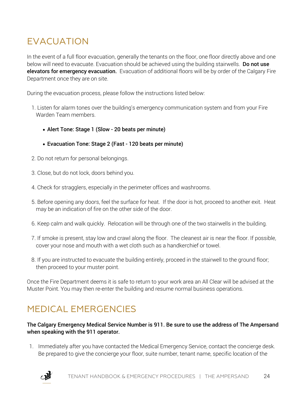### EVACUATION

In the event of a full floor evacuation, generally the tenants on the floor, one floor directly above and one below will need to evacuate. Evacuation should be achieved using the building stairwells. **Do not use** elevators for emergency evacuation. Evacuation of additional floors will be by order of the Calgary Fire Department once they are on site.

During the evacuation process, please follow the instructions listed below:

- 1. Listen for alarm tones over the building's emergency communication system and from your Fire Warden Team members.
	- Alert Tone: Stage 1 (Slow 20 beats per minute)
	- Evacuation Tone: Stage 2 (Fast 120 beats per minute)
- 2. Do not return for personal belongings.
- 3. Close, but do not lock, doors behind you.
- 4. Check for stragglers, especially in the perimeter offices and washrooms.
- 5. Before opening any doors, feel the surface for heat. If the door is hot, proceed to another exit. Heat may be an indication of fire on the other side of the door.
- 6. Keep calm and walk quickly. Relocation will be through one of the two stairwells in the building.
- 7. If smoke is present, stay low and crawl along the floor. The cleanest air is near the floor. If possible, cover your nose and mouth with a wet cloth such as a handkerchief or towel.
- 8. If you are instructed to evacuate the building entirely, proceed in the stairwell to the ground floor; then proceed to your muster point.

Once the Fire Department deems it is safe to return to your work area an All Clear will be advised at the Muster Point. You may then re-enter the building and resume normal business operations.

### MEDICAL EMERGENCIES

#### The Calgary Emergency Medical Service Number is 911. Be sure to use the address of The Ampersand when speaking with the 911 operator.

1. Immediately after you have contacted the Medical Emergency Service, contact the concierge desk. Be prepared to give the concierge your floor, suite number, tenant name, specific location of the

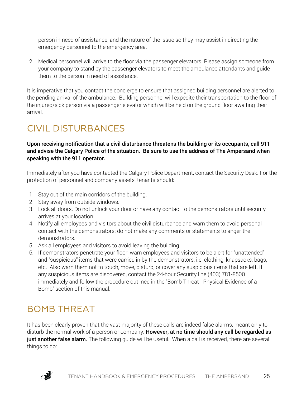person in need of assistance, and the nature of the issue so they may assist in directing the emergency personnel to the emergency area.

2. Medical personnel will arrive to the floor via the passenger elevators. Please assign someone from your company to stand by the passenger elevators to meet the ambulance attendants and guide them to the person in need of assistance.

It is imperative that you contact the concierge to ensure that assigned building personnel are alerted to the pending arrival of the ambulance. Building personnel will expedite their transportation to the floor of the injured/sick person via a passenger elevator which will be held on the ground floor awaiting their arrival.

### CIVIL DISTURBANCES

Upon receiving notification that a civil disturbance threatens the building or its occupants, call 911 and advise the Calgary Police of the situation. Be sure to use the address of The Ampersand when speaking with the 911 operator.

Immediately after you have contacted the Calgary Police Department, contact the Security Desk. For the protection of personnel and company assets, tenants should:

- 1. Stay out of the main corridors of the building.
- 2. Stay away from outside windows.
- 3. Lock all doors. Do not unlock your door or have any contact to the demonstrators until security arrives at your location.
- 4. Notify all employees and visitors about the civil disturbance and warn them to avoid personal contact with the demonstrators; do not make any comments or statements to anger the demonstrators.
- 5. Ask all employees and visitors to avoid leaving the building.
- 6. If demonstrators penetrate your floor, warn employees and visitors to be alert for "unattended" and "suspicious" items that were carried in by the demonstrators, i.e. clothing, knapsacks, bags, etc. Also warn them not to touch, move, disturb, or cover any suspicious items that are left. If any suspicious items are discovered, contact the 24-hour Security line (403) 781-8500 immediately and follow the procedure outlined in the "Bomb Threat - Physical Evidence of a Bomb" section of this manual.

### BOMB THREAT

It has been clearly proven that the vast majority of these calls are indeed false alarms, meant only to disturb the normal work of a person or company. However, at no time should any call be regarded as just another false alarm. The following quide will be useful. When a call is received, there are several things to do:

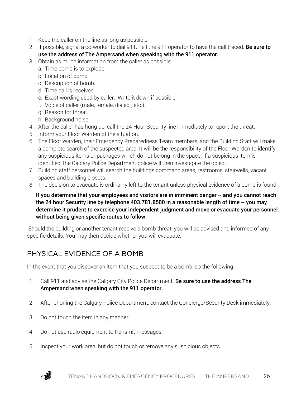- 1. Keep the caller on the line as long as possible.
- 2. If possible, signal a co-worker to dial 911. Tell the 911 operator to have the call traced. Be sure to use the address of The Ampersand when speaking with the 911 operator.
- 3. Obtain as much information from the caller as possible.
	- a. Time bomb is to explode.
	- b. Location of bomb.
	- c. Description of bomb.
	- d. Time call is received.
	- e. Exact wording used by caller. Write it down if possible.
	- f. Voice of caller (male, female, dialect, etc.).
	- g. Reason for threat.
	- h. Background noise.
- 4. After the caller has hung up, call the 24-Hour Security line immediately to report the threat.
- 5. Inform your Floor Warden of the situation.
- 6. The Floor Warden, their Emergency Preparedness Team members, and the Building Staff will make a complete search of the suspected area. It will be the responsibility of the Floor Warden to identify any suspicious items or packages which do not belong in the space. If a suspicious item is identified, the Calgary Police Department police will then investigate the object.
- 7. Building staff personnel will search the buildings command areas, restrooms, stairwells, vacant spaces and building closets.
- 8. The decision to evacuate is ordinarily left to the tenant unless physical evidence of a bomb is found.

#### If you determine that your employees and visitors are in imminent danger -- and you cannot reach the 24 hour Security line by telephone 403.781.8500 in a reasonable length of time -- you may determine it prudent to exercise your independent judgment and move or evacuate your personnel without being given specific routes to follow.

Should the building or another tenant receive a bomb threat, you will be advised and informed of any specific details. You may then decide whether you will evacuate.

#### PHYSICAL EVIDENCE OF A BOMB

In the event that you discover an item that you suspect to be a bomb, do the following:

- 1. Call 911 and advise the Calgary City Police Department. Be sure to use the address The Ampersand when speaking with the 911 operator.
- 2. After phoning the Calgary Police Department, contact the Concierge/Security Desk immediately.
- 3. Do not touch the item in any manner.
- 4. Do not use radio equipment to transmit messages.
- 5. Inspect your work area, but do not touch or remove any suspicious objects.

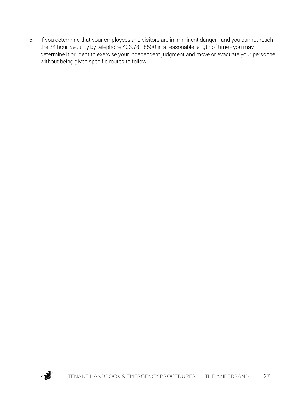6. If you determine that your employees and visitors are in imminent danger - and you cannot reach the 24 hour Security by telephone 403.781.8500 in a reasonable length of time - you may determine it prudent to exercise your independent judgment and move or evacuate your personnel without being given specific routes to follow.

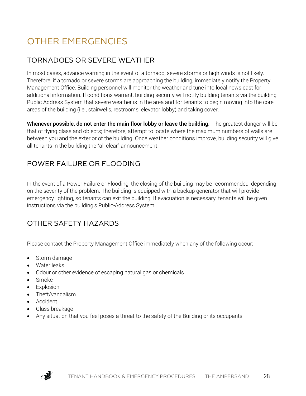### OTHER EMERGENCIES

#### TORNADOES OR SEVERE WEATHER

In most cases, advance warning in the event of a tornado, severe storms or high winds is not likely. Therefore, if a tornado or severe storms are approaching the building, immediately notify the Property Management Office. Building personnel will monitor the weather and tune into local news cast for additional information. If conditions warrant, building security will notify building tenants via the building Public Address System that severe weather is in the area and for tenants to begin moving into the core areas of the building (i.e., stairwells, restrooms, elevator lobby) and taking cover.

Whenever possible, do not enter the main floor lobby or leave the building. The greatest danger will be that of flying glass and objects; therefore, attempt to locate where the maximum numbers of walls are between you and the exterior of the building. Once weather conditions improve, building security will give all tenants in the building the "all clear" announcement.

#### POWER FAILURE OR FLOODING

In the event of a Power Failure or Flooding, the closing of the building may be recommended, depending on the severity of the problem. The building is equipped with a backup generator that will provide emergency lighting, so tenants can exit the building. If evacuation is necessary, tenants will be given instructions via the building's Public-Address System.

#### OTHER SAFETY HAZARDS

Please contact the Property Management Office immediately when any of the following occur:

- Storm damage
- Water leaks
- Odour or other evidence of escaping natural gas or chemicals
- Smoke
- Explosion
- Theft/vandalism
- Accident
- Glass breakage
- Any situation that you feel poses a threat to the safety of the Building or its occupants

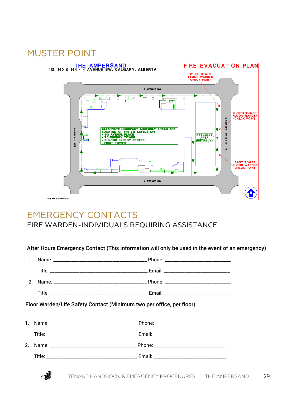### MUSTER POINT



#### EMERGENCY CONTACTS FIRE WARDEN-INDIVIDUALS REQUIRING ASSISTANCE

After Hours Emergency Contact (This information will only be used in the event of an emergency)

|    | Floor Warden/Life Safety Contact (Minimum two per office, per floor) |  |
|----|----------------------------------------------------------------------|--|
|    |                                                                      |  |
|    |                                                                      |  |
|    |                                                                      |  |
| 2. |                                                                      |  |
|    |                                                                      |  |
|    |                                                                      |  |